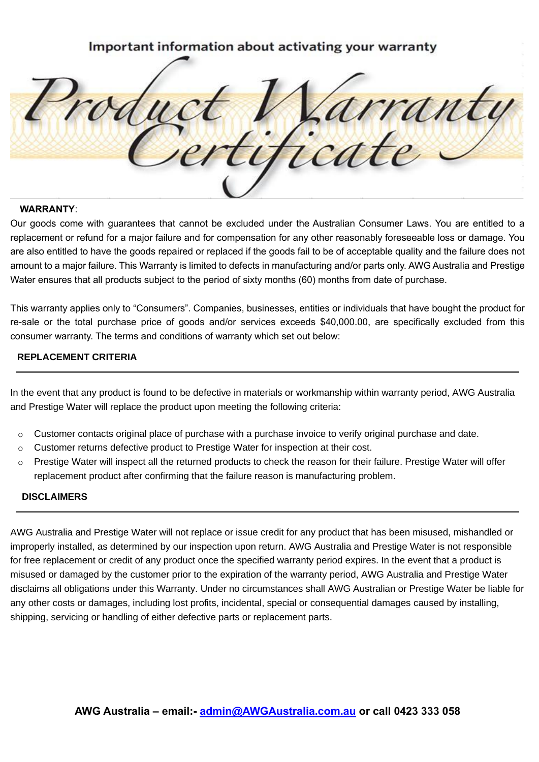Important information about activating your warranty rant

#### **WARRANTY**:

Our goods come with guarantees that cannot be excluded under the Australian Consumer Laws. You are entitled to a replacement or refund for a major failure and for compensation for any other reasonably foreseeable loss or damage. You are also entitled to have the goods repaired or replaced if the goods fail to be of acceptable quality and the failure does not amount to a major failure. This Warranty is limited to defects in manufacturing and/or parts only. AWG Australia and Prestige Water ensures that all products subject to the period of sixty months (60) months from date of purchase.

This warranty applies only to "Consumers". Companies, businesses, entities or individuals that have bought the product for re-sale or the total purchase price of goods and/or services exceeds \$40,000.00, are specifically excluded from this consumer warranty. The terms and conditions of warranty which set out below:

### **REPLACEMENT CRITERIA**

In the event that any product is found to be defective in materials or workmanship within warranty period, AWG Australia and Prestige Water will replace the product upon meeting the following criteria:

- $\circ$  Customer contacts original place of purchase with a purchase invoice to verify original purchase and date.
- $\circ$  Customer returns defective product to Prestige Water for inspection at their cost.
- $\circ$  Prestige Water will inspect all the returned products to check the reason for their failure. Prestige Water will offer replacement product after confirming that the failure reason is manufacturing problem.

### **DISCLAIMERS**

AWG Australia and Prestige Water will not replace or issue credit for any product that has been misused, mishandled or improperly installed, as determined by our inspection upon return. AWG Australia and Prestige Water is not responsible for free replacement or credit of any product once the specified warranty period expires. In the event that a product is misused or damaged by the customer prior to the expiration of the warranty period, AWG Australia and Prestige Water disclaims all obligations under this Warranty. Under no circumstances shall AWG Australian or Prestige Water be liable for any other costs or damages, including lost profits, incidental, special or consequential damages caused by installing, shipping, servicing or handling of either defective parts or replacement parts.